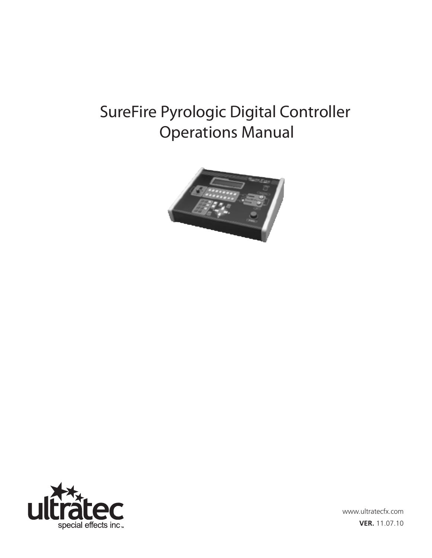# SureFire Pyrologic Digital Controller Operations Manual





www.ultratecfx.com **VER.** 11.07.10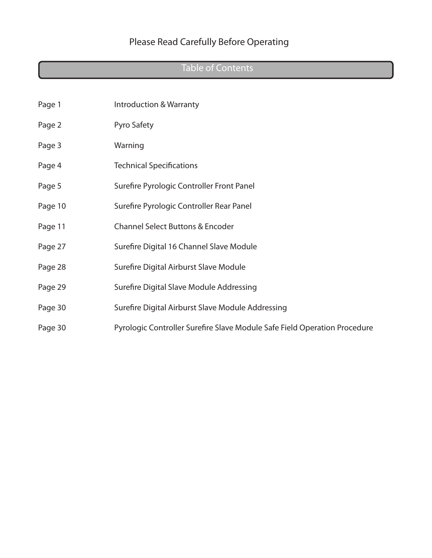# Table of Contents

| Page 1  | Introduction & Warranty                                                   |
|---------|---------------------------------------------------------------------------|
| Page 2  | Pyro Safety                                                               |
| Page 3  | Warning                                                                   |
| Page 4  | <b>Technical Specifications</b>                                           |
| Page 5  | Surefire Pyrologic Controller Front Panel                                 |
| Page 10 | Surefire Pyrologic Controller Rear Panel                                  |
| Page 11 | <b>Channel Select Buttons &amp; Encoder</b>                               |
| Page 27 | Surefire Digital 16 Channel Slave Module                                  |
| Page 28 | Surefire Digital Airburst Slave Module                                    |
| Page 29 | Surefire Digital Slave Module Addressing                                  |
| Page 30 | Surefire Digital Airburst Slave Module Addressing                         |
| Page 30 | Pyrologic Controller Surefire Slave Module Safe Field Operation Procedure |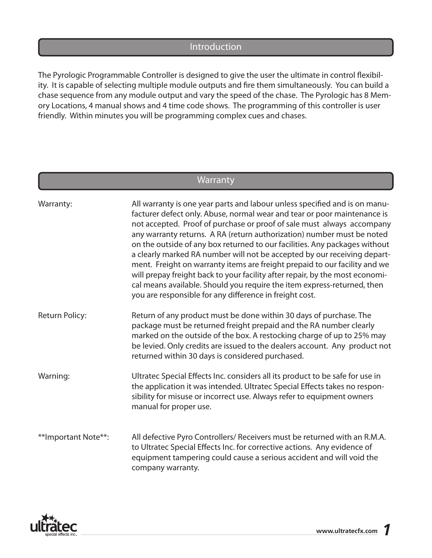#### Introduction

The Pyrologic Programmable Controller is designed to give the user the ultimate in control flexibility. It is capable of selecting multiple module outputs and fire them simultaneously. You can build a chase sequence from any module output and vary the speed of the chase. The Pyrologic has 8 Memory Locations, 4 manual shows and 4 time code shows. The programming of this controller is user friendly. Within minutes you will be programming complex cues and chases.

### **Warranty**

| Warranty:             | All warranty is one year parts and labour unless specified and is on manu-<br>facturer defect only. Abuse, normal wear and tear or poor maintenance is<br>not accepted. Proof of purchase or proof of sale must always accompany<br>any warranty returns. A RA (return authorization) number must be noted<br>on the outside of any box returned to our facilities. Any packages without<br>a clearly marked RA number will not be accepted by our receiving depart-<br>ment. Freight on warranty items are freight prepaid to our facility and we<br>will prepay freight back to your facility after repair, by the most economi-<br>cal means available. Should you require the item express-returned, then<br>you are responsible for any difference in freight cost. |
|-----------------------|--------------------------------------------------------------------------------------------------------------------------------------------------------------------------------------------------------------------------------------------------------------------------------------------------------------------------------------------------------------------------------------------------------------------------------------------------------------------------------------------------------------------------------------------------------------------------------------------------------------------------------------------------------------------------------------------------------------------------------------------------------------------------|
| <b>Return Policy:</b> | Return of any product must be done within 30 days of purchase. The<br>package must be returned freight prepaid and the RA number clearly<br>marked on the outside of the box. A restocking charge of up to 25% may<br>be levied. Only credits are issued to the dealers account. Any product not<br>returned within 30 days is considered purchased.                                                                                                                                                                                                                                                                                                                                                                                                                     |
| Warning:              | Ultratec Special Effects Inc. considers all its product to be safe for use in<br>the application it was intended. Ultratec Special Effects takes no respon-<br>sibility for misuse or incorrect use. Always refer to equipment owners<br>manual for proper use.                                                                                                                                                                                                                                                                                                                                                                                                                                                                                                          |
| **Important Note**:   | All defective Pyro Controllers/ Receivers must be returned with an R.M.A.<br>to Ultratec Special Effects Inc. for corrective actions. Any evidence of<br>equipment tampering could cause a serious accident and will void the<br>company warranty.                                                                                                                                                                                                                                                                                                                                                                                                                                                                                                                       |

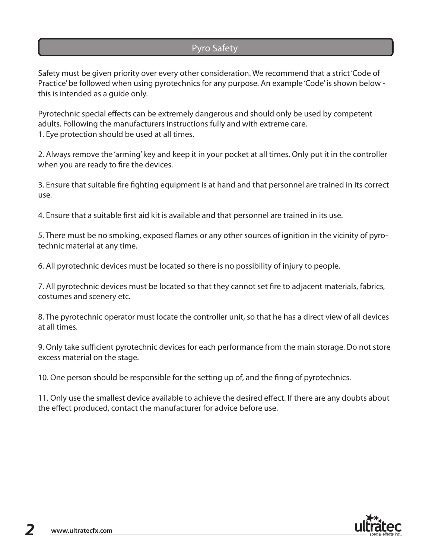### Pyro Safety

Safety must be given priority over every other consideration. We recommend that a strict 'Code of Practice' be followed when using pyrotechnics for any purpose. An example 'Code' is shown below this is intended as a guide only.

Pyrotechnic special effects can be extremely dangerous and should only be used by competent adults. Following the manufacturers instructions fully and with extreme care. 1. Eye protection should be used at all times.

2. Always remove the 'arming' key and keep it in your pocket at all times. Only put it in the controller when you are ready to fire the devices.

3. Ensure that suitable fire fighting equipment is at hand and that personnel are trained in its correct use.

4. Ensure that a suitable first aid kit is available and that personnel are trained in its use.

5. There must be no smoking, exposed flames or any other sources of ignition in the vicinity of pyrotechnic material at any time.

6. All pyrotechnic devices must be located so there is no possibility of injury to people.

7. All pyrotechnic devices must be located so that they cannot set fire to adjacent materials, fabrics, costumes and scenery etc.

8. The pyrotechnic operator must locate the controller unit, so that he has a direct view of all devices at all times.

9. Only take sufficient pyrotechnic devices for each performance from the main storage. Do not store excess material on the stage.

10. One person should be responsible for the setting up of, and the firing of pyrotechnics.

11. Only use the smallest device available to achieve the desired effect. If there are any doubts about the effect produced, contact the manufacturer for advice before use.

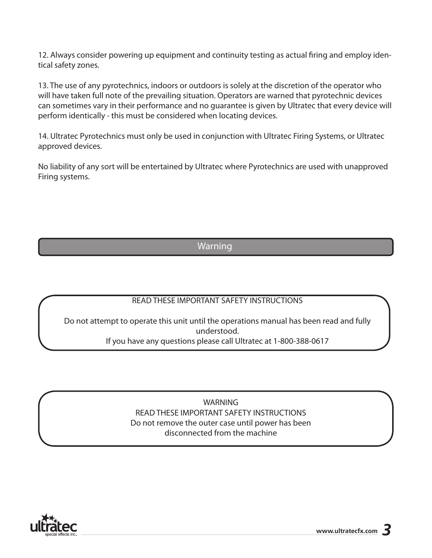12. Always consider powering up equipment and continuity testing as actual firing and employ identical safety zones.

13. The use of any pyrotechnics, indoors or outdoors is solely at the discretion of the operator who will have taken full note of the prevailing situation. Operators are warned that pyrotechnic devices can sometimes vary in their performance and no guarantee is given by Ultratec that every device will perform identically - this must be considered when locating devices.

14. Ultratec Pyrotechnics must only be used in conjunction with Ultratec Firing Systems, or Ultratec approved devices.

No liability of any sort will be entertained by Ultratec where Pyrotechnics are used with unapproved Firing systems.

### Warning

#### READ THESE IMPORTANT SAFETY INSTRUCTIONS

Do not attempt to operate this unit until the operations manual has been read and fully understood. If you have any questions please call Ultratec at 1-800-388-0617

> WARNING READ THESE IMPORTANT SAFETY INSTRUCTIONS Do not remove the outer case until power has been disconnected from the machine

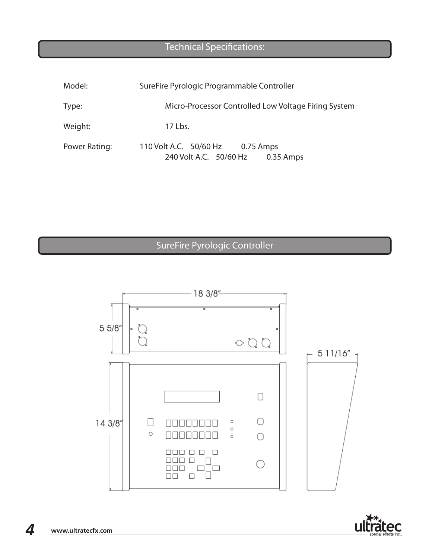### Technical Specifications:

| Model:        | SureFire Pyrologic Programmable Controller                           |
|---------------|----------------------------------------------------------------------|
| Type:         | Micro-Processor Controlled Low Voltage Firing System                 |
| Weight:       | 17 Lbs.                                                              |
| Power Rating: | 110 Volt A.C. 50/60 Hz 0.75 Amps<br>240 Volt A.C. 50/60 Hz 0.35 Amps |

# SureFire Pyrologic Controller



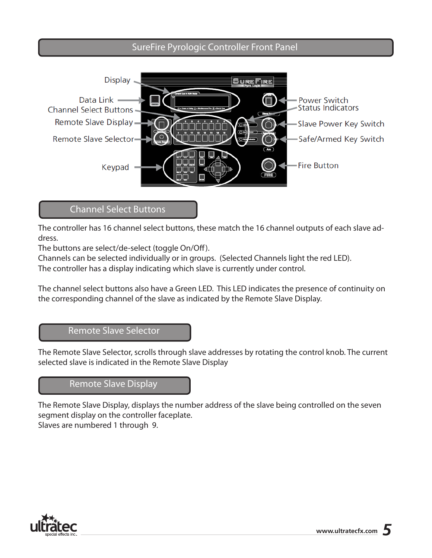### SureFire Pyrologic Controller Front Panel



### Channel Select Buttons

The controller has 16 channel select buttons, these match the 16 channel outputs of each slave address.

The buttons are select/de-select (toggle On/Off).

Channels can be selected individually or in groups. (Selected Channels light the red LED).

The controller has a display indicating which slave is currently under control.

The channel select buttons also have a Green LED. This LED indicates the presence of continuity on the corresponding channel of the slave as indicated by the Remote Slave Display.

#### Remote Slave Selector

The Remote Slave Selector, scrolls through slave addresses by rotating the control knob. The current selected slave is indicated in the Remote Slave Display

#### Remote Slave Display

The Remote Slave Display, displays the number address of the slave being controlled on the seven segment display on the controller faceplate.

Slaves are numbered 1 through 9.

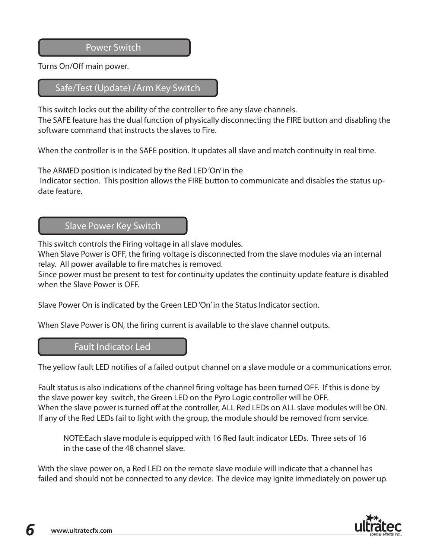Power Switch

Turns On/Off main power.

#### Safe/Test (Update) /Arm Key Switch

This switch locks out the ability of the controller to fire any slave channels. The SAFE feature has the dual function of physically disconnecting the FIRE button and disabling the software command that instructs the slaves to Fire.

When the controller is in the SAFE position. It updates all slave and match continuity in real time.

The ARMED position is indicated by the Red LED 'On' in the

 Indicator section. This position allows the FIRE button to communicate and disables the status update feature.

#### Slave Power Key Switch

This switch controls the Firing voltage in all slave modules.

When Slave Power is OFF, the firing voltage is disconnected from the slave modules via an internal relay. All power available to fire matches is removed.

Since power must be present to test for continuity updates the continuity update feature is disabled when the Slave Power is OFF.

Slave Power On is indicated by the Green LED 'On' in the Status Indicator section.

When Slave Power is ON, the firing current is available to the slave channel outputs.

#### Fault Indicator Led

The yellow fault LED notifies of a failed output channel on a slave module or a communications error.

Fault status is also indications of the channel firing voltage has been turned OFF. If this is done by the slave power key switch, the Green LED on the Pyro Logic controller will be OFF. When the slave power is turned off at the controller, ALL Red LEDs on ALL slave modules will be ON. If any of the Red LEDs fail to light with the group, the module should be removed from service.

NOTE:Each slave module is equipped with 16 Red fault indicator LEDs. Three sets of 16 in the case of the 48 channel slave.

With the slave power on, a Red LED on the remote slave module will indicate that a channel has failed and should not be connected to any device. The device may ignite immediately on power up.

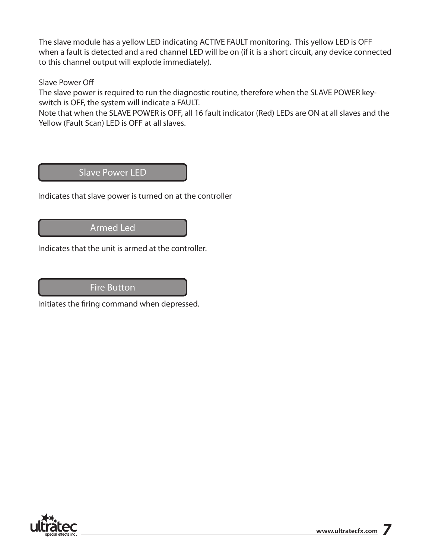The slave module has a yellow LED indicating ACTIVE FAULT monitoring. This yellow LED is OFF when a fault is detected and a red channel LED will be on (if it is a short circuit, any device connected to this channel output will explode immediately).

#### Slave Power Off

The slave power is required to run the diagnostic routine, therefore when the SLAVE POWER keyswitch is OFF, the system will indicate a FAULT.

Note that when the SLAVE POWER is OFF, all 16 fault indicator (Red) LEDs are ON at all slaves and the Yellow (Fault Scan) LED is OFF at all slaves.

### Slave Power LED

Indicates that slave power is turned on at the controller

### Armed Led

Indicates that the unit is armed at the controller.

#### Fire Button

Initiates the firing command when depressed.

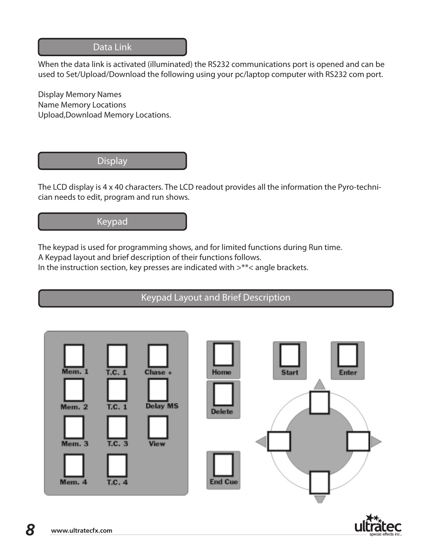### Data Link

When the data link is activated (illuminated) the RS232 communications port is opened and can be used to Set/Upload/Download the following using your pc/laptop computer with RS232 com port.

Display Memory Names Name Memory Locations Upload,Download Memory Locations.

#### **Display**

The LCD display is 4 x 40 characters. The LCD readout provides all the information the Pyro-technician needs to edit, program and run shows.

## Keypad

The keypad is used for programming shows, and for limited functions during Run time.

A Keypad layout and brief description of their functions follows.

In the instruction section, key presses are indicated with >\*\*< angle brackets.

### Keypad Layout and Brief Description



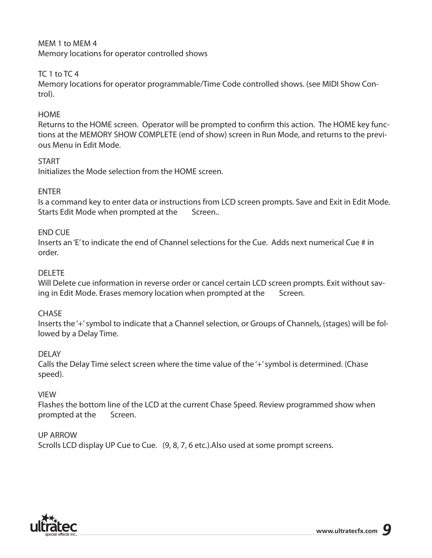#### MEM 1 to MEM 4 Memory locations for operator controlled shows

### TC 1 to TC 4

Memory locations for operator programmable/Time Code controlled shows. (see MIDI Show Control).

#### **HOME**

Returns to the HOME screen. Operator will be prompted to confirm this action. The HOME key functions at the MEMORY SHOW COMPLETE (end of show) screen in Run Mode, and returns to the previous Menu in Edit Mode.

#### **START**

Initializes the Mode selection from the HOME screen.

#### ENTER

Is a command key to enter data or instructions from LCD screen prompts. Save and Exit in Edit Mode. Starts Edit Mode when prompted at the Screen..

#### END CUE

Inserts an 'E' to indicate the end of Channel selections for the Cue. Adds next numerical Cue # in order.

#### DELETE

Will Delete cue information in reverse order or cancel certain LCD screen prompts. Exit without saving in Edit Mode. Erases memory location when prompted at the Screen.

#### **CHASE**

Inserts the '+' symbol to indicate that a Channel selection, or Groups of Channels, (stages) will be followed by a Delay Time.

#### DELAY

Calls the Delay Time select screen where the time value of the '+' symbol is determined. (Chase speed).

#### VIEW

Flashes the bottom line of the LCD at the current Chase Speed. Review programmed show when prompted at the Screen.

#### UP ARROW

Scrolls LCD display UP Cue to Cue. (9, 8, 7, 6 etc.).Also used at some prompt screens.

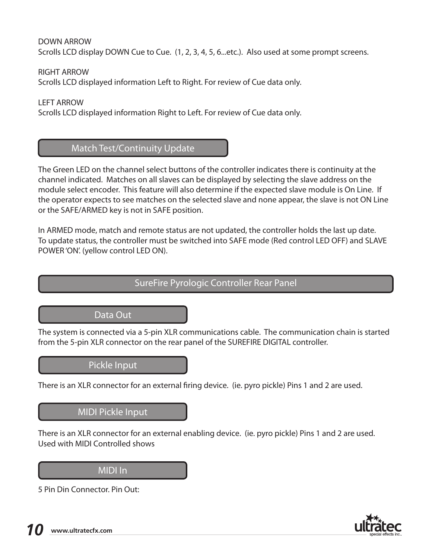DOWN ARROW Scrolls LCD display DOWN Cue to Cue. (1, 2, 3, 4, 5, 6...etc.). Also used at some prompt screens.

RIGHT ARROW Scrolls LCD displayed information Left to Right. For review of Cue data only.

LEFT ARROW Scrolls LCD displayed information Right to Left. For review of Cue data only.

### Match Test/Continuity Update

The Green LED on the channel select buttons of the controller indicates there is continuity at the channel indicated. Matches on all slaves can be displayed by selecting the slave address on the module select encoder. This feature will also determine if the expected slave module is On Line. If the operator expects to see matches on the selected slave and none appear, the slave is not ON Line or the SAFE/ARMED key is not in SAFE position.

In ARMED mode, match and remote status are not updated, the controller holds the last up date. To update status, the controller must be switched into SAFE mode (Red control LED OFF) and SLAVE POWER 'ON'. (yellow control LED ON).

### SureFire Pyrologic Controller Rear Panel

#### Data Out

The system is connected via a 5-pin XLR communications cable. The communication chain is started from the 5-pin XLR connector on the rear panel of the SUREFIRE DIGITAL controller.

### Pickle Input

There is an XLR connector for an external firing device. (ie. pyro pickle) Pins 1 and 2 are used.

#### MIDI Pickle Input

There is an XLR connector for an external enabling device. (ie. pyro pickle) Pins 1 and 2 are used. Used with MIDI Controlled shows

#### MIDI In

5 Pin Din Connector. Pin Out:

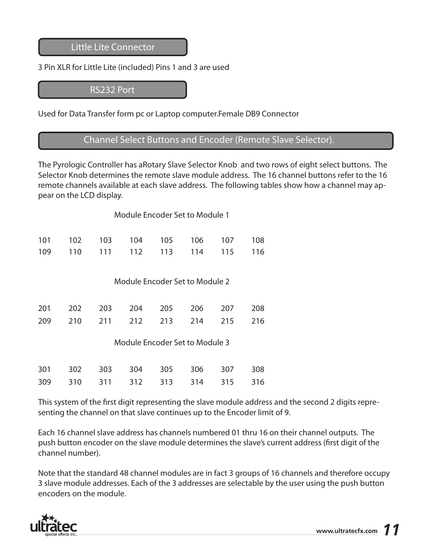Little Lite Connector

#### 3 Pin XLR for Little Lite (included) Pins 1 and 3 are used

RS232 Port

Used for Data Transfer form pc or Laptop computer.Female DB9 Connector

### Channel Select Buttons and Encoder (Remote Slave Selector).

The Pyrologic Controller has aRotary Slave Selector Knob and two rows of eight select buttons. The Selector Knob determines the remote slave module address. The 16 channel buttons refer to the 16 remote channels available at each slave address. The following tables show how a channel may appear on the LCD display.

| Module Encoder Set to Module 1 |  |  |
|--------------------------------|--|--|
|                                |  |  |

|  |  | 101  102  103  104  105  106  107  108 |  |  |
|--|--|----------------------------------------|--|--|
|  |  | 109 110 111 112 113 114 115 116        |  |  |

Module Encoder Set to Module 2

|  |  | 201 202 203 204 205 206 207 208 |  |
|--|--|---------------------------------|--|
|  |  | 209 210 211 212 213 214 215 216 |  |

Module Encoder Set to Module 3

|  |  |  | 301 302 303 304 305 306 307 308 |  |
|--|--|--|---------------------------------|--|
|  |  |  | 309 310 311 312 313 314 315 316 |  |

This system of the first digit representing the slave module address and the second 2 digits representing the channel on that slave continues up to the Encoder limit of 9.

Each 16 channel slave address has channels numbered 01 thru 16 on their channel outputs. The push button encoder on the slave module determines the slave's current address (first digit of the channel number).

Note that the standard 48 channel modules are in fact 3 groups of 16 channels and therefore occupy 3 slave module addresses. Each of the 3 addresses are selectable by the user using the push button encoders on the module.

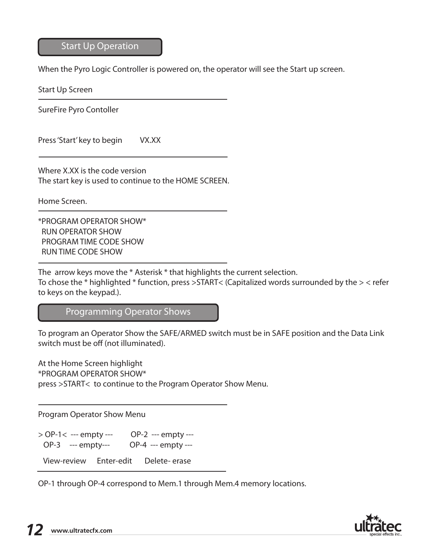#### Start Up Operation

When the Pyro Logic Controller is powered on, the operator will see the Start up screen.

Start Up Screen

SureFire Pyro Contoller

Press 'Start' key to begin VX.XX

Where X.XX is the code version The start key is used to continue to the HOME SCREEN.

Home Screen.

\*PROGRAM OPERATOR SHOW\* RUN OPERATOR SHOW PROGRAM TIME CODE SHOW RUN TIME CODE SHOW

The arrow keys move the \* Asterisk \* that highlights the current selection.

To chose the \* highlighted \* function, press >START< (Capitalized words surrounded by the > < refer to keys on the keypad.).

Programming Operator Shows

To program an Operator Show the SAFE/ARMED switch must be in SAFE position and the Data Link switch must be off (not illuminated).

At the Home Screen highlight \*PROGRAM OPERATOR SHOW\* press >START< to continue to the Program Operator Show Menu.

Program Operator Show Menu

> OP-1< --- empty --- OP-2 --- empty --- OP-3 --- empty--- OP-4 --- empty ---

View-review Enter-edit Delete- erase

OP-1 through OP-4 correspond to Mem.1 through Mem.4 memory locations.

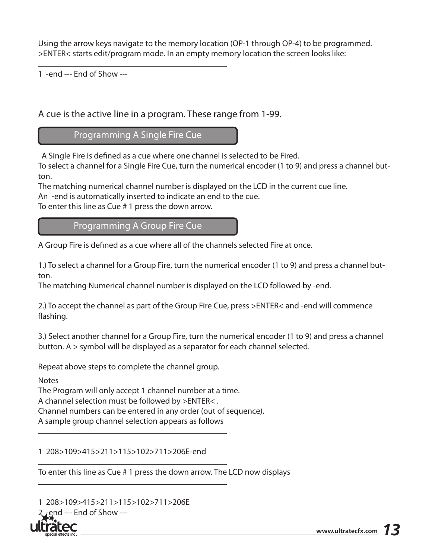Using the arrow keys navigate to the memory location (OP-1 through OP-4) to be programmed. >ENTER< starts edit/program mode. In an empty memory location the screen looks like:

1 -end --- End of Show ---

A cue is the active line in a program. These range from 1-99.

Programming A Single Fire Cue

A Single Fire is defined as a cue where one channel is selected to be Fired.

To select a channel for a Single Fire Cue, turn the numerical encoder (1 to 9) and press a channel button.

The matching numerical channel number is displayed on the LCD in the current cue line. An -end is automatically inserted to indicate an end to the cue.

To enter this line as Cue # 1 press the down arrow.

Programming A Group Fire Cue

A Group Fire is defined as a cue where all of the channels selected Fire at once.

1.) To select a channel for a Group Fire, turn the numerical encoder (1 to 9) and press a channel button.

The matching Numerical channel number is displayed on the LCD followed by -end.

2.) To accept the channel as part of the Group Fire Cue, press >ENTER< and -end will commence flashing.

3.) Select another channel for a Group Fire, turn the numerical encoder (1 to 9) and press a channel button. A > symbol will be displayed as a separator for each channel selected.

Repeat above steps to complete the channel group.

Notes

The Program will only accept 1 channel number at a time. A channel selection must be followed by >ENTER< . Channel numbers can be entered in any order (out of sequence).

A sample group channel selection appears as follows

1 208>109>415>211>115>102>711>206E-end

To enter this line as Cue # 1 press the down arrow. The LCD now displays

1 208>109>415>211>115>102>711>206E end --- End of Show ---

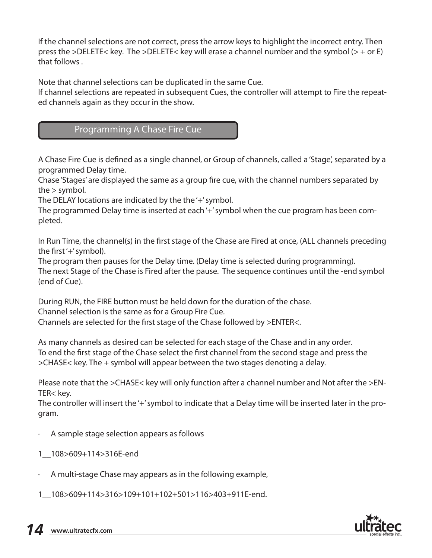If the channel selections are not correct, press the arrow keys to highlight the incorrect entry. Then press the >DELETE< key. The >DELETE< key will erase a channel number and the symbol (> + or E) that follows .

Note that channel selections can be duplicated in the same Cue.

If channel selections are repeated in subsequent Cues, the controller will attempt to Fire the repeated channels again as they occur in the show.

### Programming A Chase Fire Cue

A Chase Fire Cue is defined as a single channel, or Group of channels, called a 'Stage', separated by a programmed Delay time.

Chase 'Stages' are displayed the same as a group fire cue, with the channel numbers separated by the > symbol.

The DELAY locations are indicated by the the '+' symbol.

The programmed Delay time is inserted at each '+' symbol when the cue program has been completed.

In Run Time, the channel(s) in the first stage of the Chase are Fired at once, (ALL channels preceding the first '+' symbol).

The program then pauses for the Delay time. (Delay time is selected during programming). The next Stage of the Chase is Fired after the pause. The sequence continues until the -end symbol (end of Cue).

During RUN, the FIRE button must be held down for the duration of the chase. Channel selection is the same as for a Group Fire Cue. Channels are selected for the first stage of the Chase followed by >ENTER<.

As many channels as desired can be selected for each stage of the Chase and in any order. To end the first stage of the Chase select the first channel from the second stage and press the >CHASE< key. The + symbol will appear between the two stages denoting a delay.

Please note that the >CHASE< key will only function after a channel number and Not after the >EN-TER< key.

The controller will insert the '+' symbol to indicate that a Delay time will be inserted later in the program.

- · A sample stage selection appears as follows
- 1\_\_108>609+114>316E-end
- · A multi-stage Chase may appears as in the following example,

1\_\_108>609+114>316>109+101+102+501>116>403+911E-end.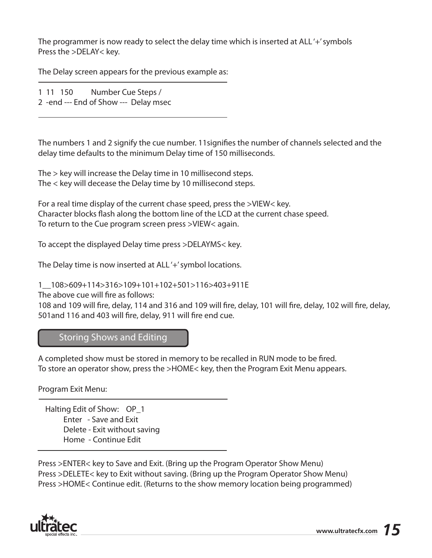The programmer is now ready to select the delay time which is inserted at ALL '+' symbols Press the >DELAY< key.

The Delay screen appears for the previous example as:

1 11 150 Number Cue Steps / 2 -end --- End of Show --- Delay msec

The numbers 1 and 2 signify the cue number. 11signifies the number of channels selected and the delay time defaults to the minimum Delay time of 150 milliseconds.

The > key will increase the Delay time in 10 millisecond steps. The < key will decease the Delay time by 10 millisecond steps.

For a real time display of the current chase speed, press the >VIEW< key. Character blocks flash along the bottom line of the LCD at the current chase speed. To return to the Cue program screen press >VIEW< again.

To accept the displayed Delay time press >DELAYMS< key.

The Delay time is now inserted at ALL'+' symbol locations.

1\_\_108>609+114>316>109+101+102+501>116>403+911E

The above cue will fire as follows:

108 and 109 will fire, delay, 114 and 316 and 109 will fire, delay, 101 will fire, delay, 102 will fire, delay, 501and 116 and 403 will fire, delay, 911 will fire end cue.

#### Storing Shows and Editing

A completed show must be stored in memory to be recalled in RUN mode to be fired. To store an operator show, press the >HOME< key, then the Program Exit Menu appears.

Program Exit Menu:

 Halting Edit of Show: OP\_1 Enter - Save and Exit Delete - Exit without saving Home - Continue Edit

Press >ENTER< key to Save and Exit. (Bring up the Program Operator Show Menu) Press >DELETE< key to Exit without saving. (Bring up the Program Operator Show Menu) Press >HOME< Continue edit. (Returns to the show memory location being programmed)

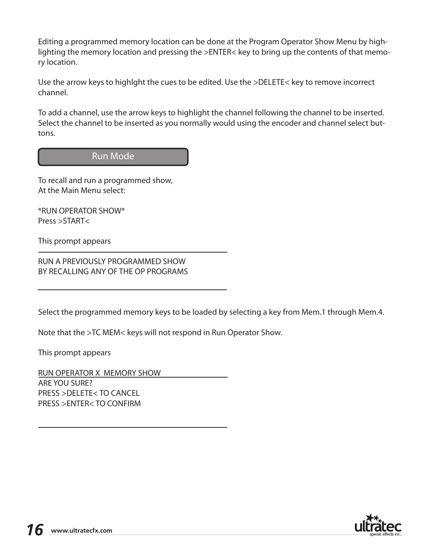Editing a programmed memory location can be done at the Program Operator Show Menu by highlighting the memory location and pressing the >ENTER< key to bring up the contents of that memory location.

Use the arrow keys to highlght the cues to be edited. Use the >DELETE< key to remove incorrect channel.

To add a channel, use the arrow keys to highlight the channel following the channel to be inserted. Select the channel to be inserted as you normally would using the encoder and channel select buttons.

#### Run Mode

To recall and run a programmed show, At the Main Menu select:

\*RUN OPERATOR SHOW\* Press >START<

This prompt appears

RUN A PREVIOUSLY PROGRAMMED SHOW BY RECALLING ANY OF THE OP PROGRAMS

Select the programmed memory keys to be loaded by selecting a key from Mem.1 through Mem.4.

Note that the >TC MEM< keys will not respond in Run Operator Show.

This prompt appears

RUN OPERATOR X MEMORY SHOW ARE YOU SURE? PRESS >DELETE< TO CANCEL PRESS >ENTER< TO CONFIRM

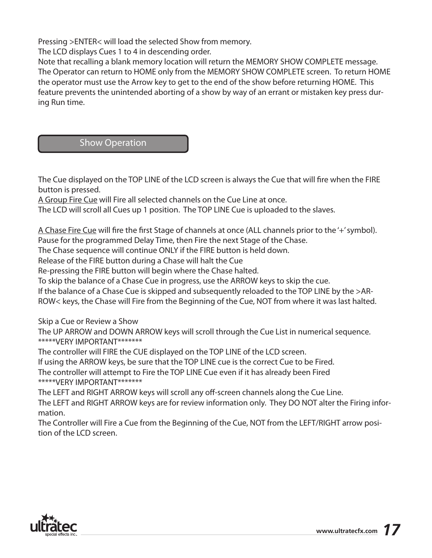Pressing >ENTER< will load the selected Show from memory.

The LCD displays Cues 1 to 4 in descending order.

Note that recalling a blank memory location will return the MEMORY SHOW COMPLETE message. The Operator can return to HOME only from the MEMORY SHOW COMPLETE screen. To return HOME the operator must use the Arrow key to get to the end of the show before returning HOME. This feature prevents the unintended aborting of a show by way of an errant or mistaken key press during Run time.

#### Show Operation

The Cue displayed on the TOP LINE of the LCD screen is always the Cue that will fire when the FIRE button is pressed.

A Group Fire Cue will Fire all selected channels on the Cue Line at once.

The LCD will scroll all Cues up 1 position. The TOP LINE Cue is uploaded to the slaves.

A Chase Fire Cue will fire the first Stage of channels at once (ALL channels prior to the '+' symbol). Pause for the programmed Delay Time, then Fire the next Stage of the Chase.

The Chase sequence will continue ONLY if the FIRE button is held down.

Release of the FIRE button during a Chase will halt the Cue

Re-pressing the FIRE button will begin where the Chase halted.

To skip the balance of a Chase Cue in progress, use the ARROW keys to skip the cue.

If the balance of a Chase Cue is skipped and subsequently reloaded to the TOP LINE by the >AR-

ROW< keys, the Chase will Fire from the Beginning of the Cue, NOT from where it was last halted.

Skip a Cue or Review a Show

The UP ARROW and DOWN ARROW keys will scroll through the Cue List in numerical sequence. \*\*\*\*\*VERY IMPORTANT\*\*\*\*\*\*\*

The controller will FIRE the CUE displayed on the TOP LINE of the LCD screen.

If using the ARROW keys, be sure that the TOP LINE cue is the correct Cue to be Fired. The controller will attempt to Fire the TOP LINE Cue even if it has already been Fired

\*\*\*\*\*VERY IMPORTANT\*\*\*\*\*\*\* The LEFT and RIGHT ARROW keys will scroll any off-screen channels along the Cue Line. The LEFT and RIGHT ARROW keys are for review information only. They DO NOT alter the Firing information.

The Controller will Fire a Cue from the Beginning of the Cue, NOT from the LEFT/RIGHT arrow position of the LCD screen.

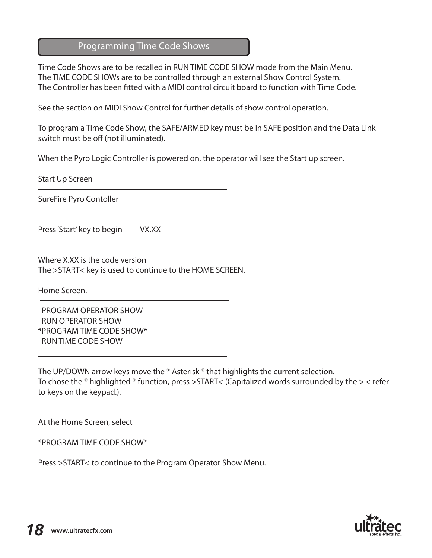#### Programming Time Code Shows

Time Code Shows are to be recalled in RUN TIME CODE SHOW mode from the Main Menu. The TIME CODE SHOWs are to be controlled through an external Show Control System. The Controller has been fitted with a MIDI control circuit board to function with Time Code.

See the section on MIDI Show Control for further details of show control operation.

To program a Time Code Show, the SAFE/ARMED key must be in SAFE position and the Data Link switch must be off (not illuminated).

When the Pyro Logic Controller is powered on, the operator will see the Start up screen.

Start Up Screen

SureFire Pyro Contoller

Press 'Start' key to begin VX.XX

Where X.XX is the code version The >START< key is used to continue to the HOME SCREEN.

Home Screen.

 PROGRAM OPERATOR SHOW RUN OPERATOR SHOW \*PROGRAM TIME CODE SHOW\* RUN TIME CODE SHOW

The UP/DOWN arrow keys move the \* Asterisk \* that highlights the current selection. To chose the \* highlighted \* function, press >START< (Capitalized words surrounded by the > < refer to keys on the keypad.).

At the Home Screen, select

\*PROGRAM TIME CODE SHOW\*

Press >START< to continue to the Program Operator Show Menu.

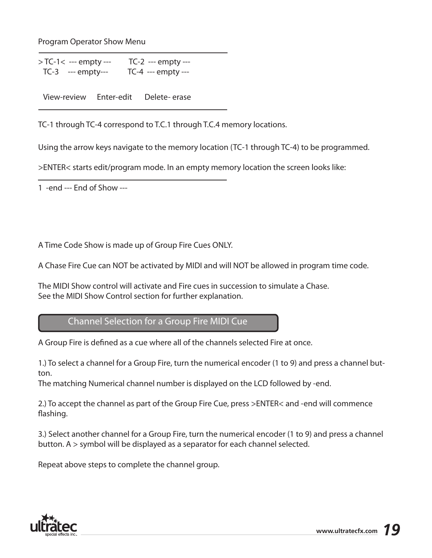Program Operator Show Menu

> TC-1< --- empty --- TC-2 --- empty --- TC-3 --- empty--- TC-4 --- empty ---

View-review Enter-edit Delete- erase

TC-1 through TC-4 correspond to T.C.1 through T.C.4 memory locations.

Using the arrow keys navigate to the memory location (TC-1 through TC-4) to be programmed.

>ENTER< starts edit/program mode. In an empty memory location the screen looks like:

1 -end --- End of Show ---

A Time Code Show is made up of Group Fire Cues ONLY.

A Chase Fire Cue can NOT be activated by MIDI and will NOT be allowed in program time code.

The MIDI Show control will activate and Fire cues in succession to simulate a Chase. See the MIDI Show Control section for further explanation.

Channel Selection for a Group Fire MIDI Cue

A Group Fire is defined as a cue where all of the channels selected Fire at once.

1.) To select a channel for a Group Fire, turn the numerical encoder (1 to 9) and press a channel button.

The matching Numerical channel number is displayed on the LCD followed by -end.

2.) To accept the channel as part of the Group Fire Cue, press >ENTER< and -end will commence flashing.

3.) Select another channel for a Group Fire, turn the numerical encoder (1 to 9) and press a channel button. A > symbol will be displayed as a separator for each channel selected.

Repeat above steps to complete the channel group.

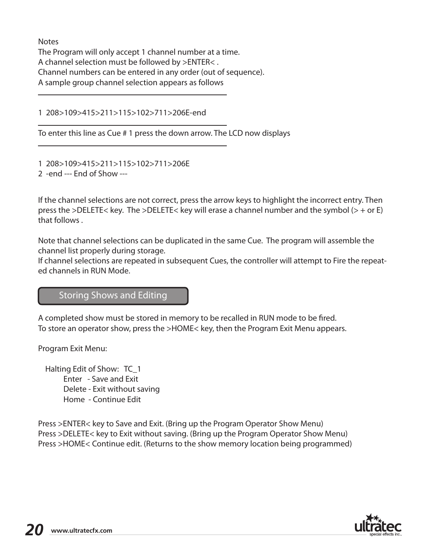**Notes** The Program will only accept 1 channel number at a time. A channel selection must be followed by >ENTER< . Channel numbers can be entered in any order (out of sequence). A sample group channel selection appears as follows

1 208>109>415>211>115>102>711>206E-end

To enter this line as Cue # 1 press the down arrow. The LCD now displays

1 208>109>415>211>115>102>711>206E 2 -end --- End of Show ---

If the channel selections are not correct, press the arrow keys to highlight the incorrect entry. Then press the >DELETE< key. The >DELETE< key will erase a channel number and the symbol (> + or E) that follows .

Note that channel selections can be duplicated in the same Cue. The program will assemble the channel list properly during storage.

If channel selections are repeated in subsequent Cues, the controller will attempt to Fire the repeated channels in RUN Mode.

### Storing Shows and Editing

A completed show must be stored in memory to be recalled in RUN mode to be fired. To store an operator show, press the >HOME< key, then the Program Exit Menu appears.

Program Exit Menu:

 Halting Edit of Show: TC\_1 Enter - Save and Exit Delete - Exit without saving Home - Continue Edit

Press >ENTER< key to Save and Exit. (Bring up the Program Operator Show Menu) Press >DELETE< key to Exit without saving. (Bring up the Program Operator Show Menu) Press >HOME< Continue edit. (Returns to the show memory location being programmed)

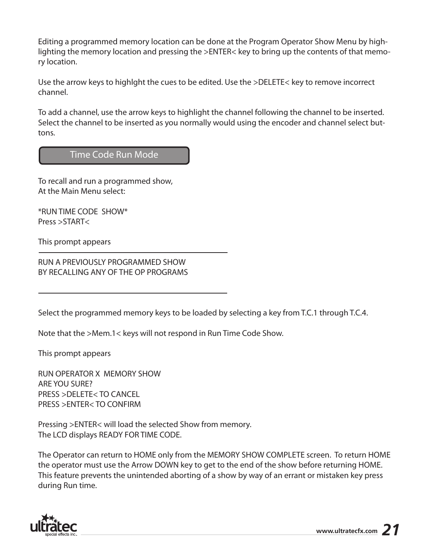Editing a programmed memory location can be done at the Program Operator Show Menu by highlighting the memory location and pressing the >ENTER< key to bring up the contents of that memory location.

Use the arrow keys to highlght the cues to be edited. Use the >DELETE< key to remove incorrect channel.

To add a channel, use the arrow keys to highlight the channel following the channel to be inserted. Select the channel to be inserted as you normally would using the encoder and channel select buttons.

### Time Code Run Mode

To recall and run a programmed show, At the Main Menu select:

\*RUN TIME CODE SHOW\* Press >START<

This prompt appears

RUN A PREVIOUSLY PROGRAMMED SHOW BY RECALLING ANY OF THE OP PROGRAMS

Select the programmed memory keys to be loaded by selecting a key from T.C.1 through T.C.4.

Note that the >Mem.1< keys will not respond in Run Time Code Show.

This prompt appears

RUN OPERATOR X MEMORY SHOW ARE YOU SURE? PRESS >DELETE< TO CANCEL PRESS >ENTER< TO CONFIRM

Pressing >ENTER< will load the selected Show from memory. The LCD displays READY FOR TIME CODE.

The Operator can return to HOME only from the MEMORY SHOW COMPLETE screen. To return HOME the operator must use the Arrow DOWN key to get to the end of the show before returning HOME. This feature prevents the unintended aborting of a show by way of an errant or mistaken key press during Run time.

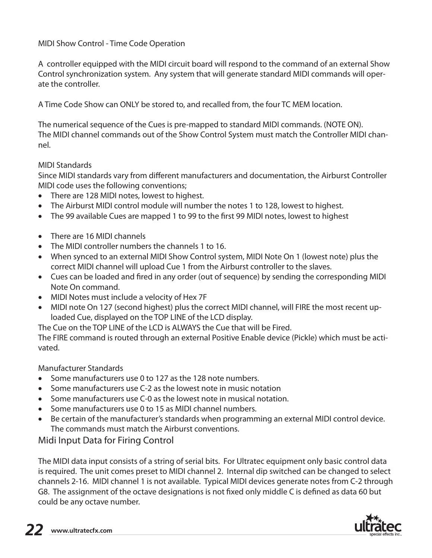MIDI Show Control - Time Code Operation

A controller equipped with the MIDI circuit board will respond to the command of an external Show Control synchronization system. Any system that will generate standard MIDI commands will operate the controller.

A Time Code Show can ONLY be stored to, and recalled from, the four TC MEM location.

The numerical sequence of the Cues is pre-mapped to standard MIDI commands. (NOTE ON). The MIDI channel commands out of the Show Control System must match the Controller MIDI channel.

#### MIDI Standards

Since MIDI standards vary from different manufacturers and documentation, the Airburst Controller MIDI code uses the following conventions;

- There are 128 MIDI notes, lowest to highest.
- The Airburst MIDI control module will number the notes 1 to 128, lowest to highest.
- The 99 available Cues are mapped 1 to 99 to the first 99 MIDI notes, lowest to highest
- There are 16 MIDI channels
- The MIDI controller numbers the channels 1 to 16.
- When synced to an external MIDI Show Control system, MIDI Note On 1 (lowest note) plus the correct MIDI channel will upload Cue 1 from the Airburst controller to the slaves.
- Cues can be loaded and fired in any order (out of sequence) by sending the corresponding MIDI Note On command.
- MIDI Notes must include a velocity of Hex 7F
- MIDI note On 127 (second highest) plus the correct MIDI channel, will FIRE the most recent uploaded Cue, displayed on the TOP LINE of the LCD display.

The Cue on the TOP LINE of the LCD is ALWAYS the Cue that will be Fired.

The FIRE command is routed through an external Positive Enable device (Pickle) which must be activated.

#### Manufacturer Standards

- Some manufacturers use 0 to 127 as the 128 note numbers.
- Some manufacturers use C-2 as the lowest note in music notation
- Some manufacturers use C-0 as the lowest note in musical notation.
- Some manufacturers use 0 to 15 as MIDI channel numbers.
- Be certain of the manufacturer's standards when programming an external MIDI control device. The commands must match the Airburst conventions.

### Midi Input Data for Firing Control

The MIDI data input consists of a string of serial bits. For Ultratec equipment only basic control data is required. The unit comes preset to MIDI channel 2. Internal dip switched can be changed to select channels 2-16. MIDI channel 1 is not available. Typical MIDI devices generate notes from C-2 through G8. The assignment of the octave designations is not fixed only middle C is defined as data 60 but could be any octave number.

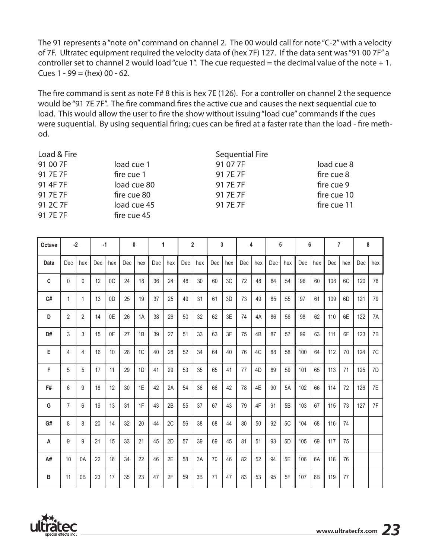The 91 represents a "note on" command on channel 2. The 00 would call for note "C-2" with a velocity of 7F. Ultratec equipment required the velocity data of (hex 7F) 127. If the data sent was "91 00 7F" a controller set to channel 2 would load "cue 1". The cue requested = the decimal value of the note  $+1$ . Cues  $1 - 99 = (hex) 00 - 62$ .

The fire command is sent as note F# 8 this is hex 7E (126). For a controller on channel 2 the sequence would be "91 7E 7F". The fire command fires the active cue and causes the next sequential cue to load. This would allow the user to fire the show without issuing "load cue" commands if the cues were suquential. By using sequential firing; cues can be fired at a faster rate than the load - fire method.

#### Load & Fire Sequential Fire 91 00 7F load cue 1 91 07 7F load cue 8

91 7E 7F fire cue 1 91 7E 7F fire cue 8 91 4F 7F load cue 80 91 7E 7F fire cue 9 91 7E 7F fire cue 80 91 7E 7F fire cue 10 91 2C 7F load cue 45 91 7E 7F fire cue 11 91 7E 7F fire cue 45

| Octave | $-2$           |                | $-1$ |                | 0   |     | $\mathbf{1}$ |     | $\overline{2}$ |     | 3   |     | 4   |                | 5   |     | 6   |     | $\overline{7}$ |     | 8   |                |
|--------|----------------|----------------|------|----------------|-----|-----|--------------|-----|----------------|-----|-----|-----|-----|----------------|-----|-----|-----|-----|----------------|-----|-----|----------------|
| Data   | Dec            | hex            | Dec  | hex            | Dec | hex | Dec          | hex | Dec            | hex | Dec | hex | Dec | hex            | Dec | hex | Dec | hex | Dec            | hex | Dec | hex            |
| C      | 0              | 0              | 12   | 0 <sub>C</sub> | 24  | 18  | 36           | 24  | 48             | 30  | 60  | 3C  | 72  | 48             | 84  | 54  | 96  | 60  | 108            | 6C  | 120 | 78             |
| C#     | 1              | 1              | 13   | 0D             | 25  | 19  | 37           | 25  | 49             | 31  | 61  | 3D  | 73  | 49             | 85  | 55  | 97  | 61  | 109            | 6D  | 121 | 79             |
| D      | 2              | 2              | 14   | 0E             | 26  | 1A  | 38           | 26  | 50             | 32  | 62  | 3E  | 74  | 4A             | 86  | 56  | 98  | 62  | 110            | 6E  | 122 | 7A             |
| D#     | 3              | 3              | 15   | 0F             | 27  | 1B  | 39           | 27  | 51             | 33  | 63  | 3F  | 75  | 4 <sub>B</sub> | 87  | 57  | 99  | 63  | 111            | 6F  | 123 | 7 <sub>B</sub> |
| E      | 4              | 4              | 16   | 10             | 28  | 1C  | 40           | 28  | 52             | 34  | 64  | 40  | 76  | 4C             | 88  | 58  | 100 | 64  | 112            | 70  | 124 | 7C             |
| F      | 5              | 5              | 17   | 11             | 29  | 1D  | 41           | 29  | 53             | 35  | 65  | 41  | 77  | 4D             | 89  | 59  | 101 | 65  | 113            | 71  | 125 | 7D             |
| F#     | 6              | 9              | 18   | 12             | 30  | 1E  | 42           | 2A  | 54             | 36  | 66  | 42  | 78  | 4E             | 90  | 5A  | 102 | 66  | 114            | 72  | 126 | 7E             |
| G      | $\overline{7}$ | 6              | 19   | 13             | 31  | 1F  | 43           | 2B  | 55             | 37  | 67  | 43  | 79  | 4F             | 91  | 5B  | 103 | 67  | 115            | 73  | 127 | 7F             |
| G#     | 8              | 8              | 20   | 14             | 32  | 20  | 44           | 2C  | 56             | 38  | 68  | 44  | 80  | 50             | 92  | 5C  | 104 | 68  | 116            | 74  |     |                |
| Α      | 9              | 9              | 21   | 15             | 33  | 21  | 45           | 2D  | 57             | 39  | 69  | 45  | 81  | 51             | 93  | 5D  | 105 | 69  | 117            | 75  |     |                |
| A#     | 10             | 0A             | 22   | 16             | 34  | 22  | 46           | 2E  | 58             | 3A  | 70  | 46  | 82  | 52             | 94  | 5E  | 106 | 6A  | 118            | 76  |     |                |
| B      | 11             | 0 <sub>B</sub> | 23   | 17             | 35  | 23  | 47           | 2F  | 59             | 3B  | 71  | 47  | 83  | 53             | 95  | 5F  | 107 | 6B  | 119            | 77  |     |                |

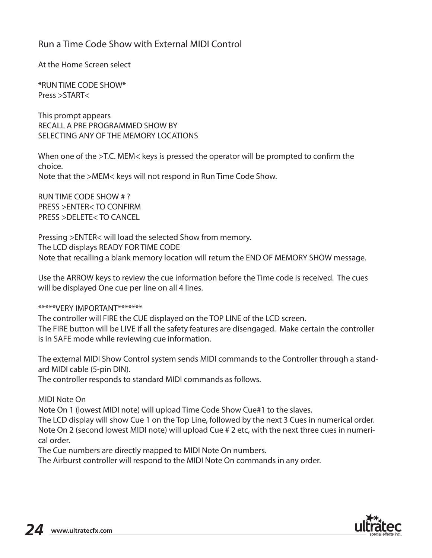### Run a Time Code Show with External MIDI Control

At the Home Screen select

\*RUN TIME CODE SHOW\* Press >START<

This prompt appears RECALL A PRE PROGRAMMED SHOW BY SELECTING ANY OF THE MEMORY LOCATIONS

When one of the >T.C. MEM< keys is pressed the operator will be prompted to confirm the choice. Note that the >MEM< keys will not respond in Run Time Code Show.

RUN TIME CODE SHOW # ? PRESS >ENTER< TO CONFIRM PRESS >DELETE< TO CANCEL

Pressing >ENTER< will load the selected Show from memory. The LCD displays READY FOR TIME CODE Note that recalling a blank memory location will return the END OF MEMORY SHOW message.

Use the ARROW keys to review the cue information before the Time code is received. The cues will be displayed One cue per line on all 4 lines.

#### \*\*\*\*\*VERY IMPORTANT\*\*\*\*\*\*\*

The controller will FIRE the CUE displayed on the TOP LINE of the LCD screen. The FIRE button will be LIVE if all the safety features are disengaged. Make certain the controller is in SAFE mode while reviewing cue information.

The external MIDI Show Control system sends MIDI commands to the Controller through a standard MIDI cable (5-pin DIN).

The controller responds to standard MIDI commands as follows.

MIDI Note On

Note On 1 (lowest MIDI note) will upload Time Code Show Cue#1 to the slaves.

The LCD display will show Cue 1 on the Top Line, followed by the next 3 Cues in numerical order. Note On 2 (second lowest MIDI note) will upload Cue # 2 etc, with the next three cues in numerical order.

The Cue numbers are directly mapped to MIDI Note On numbers.

The Airburst controller will respond to the MIDI Note On commands in any order.

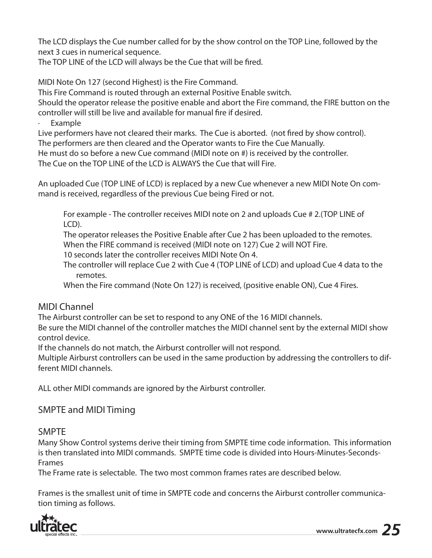The LCD displays the Cue number called for by the show control on the TOP Line, followed by the next 3 cues in numerical sequence.

The TOP LINE of the LCD will always be the Cue that will be fired.

MIDI Note On 127 (second Highest) is the Fire Command.

This Fire Command is routed through an external Positive Enable switch.

Should the operator release the positive enable and abort the Fire command, the FIRE button on the controller will still be live and available for manual fire if desired.

Example

Live performers have not cleared their marks. The Cue is aborted. (not fired by show control).

The performers are then cleared and the Operator wants to Fire the Cue Manually.

He must do so before a new Cue command (MIDI note on #) is received by the controller.

The Cue on the TOP LINE of the LCD is ALWAYS the Cue that will Fire.

An uploaded Cue (TOP LINE of LCD) is replaced by a new Cue whenever a new MIDI Note On command is received, regardless of the previous Cue being Fired or not.

For example - The controller receives MIDI note on 2 and uploads Cue # 2.(TOP LINE of LCD).

The operator releases the Positive Enable after Cue 2 has been uploaded to the remotes. When the FIRE command is received (MIDI note on 127) Cue 2 will NOT Fire.

10 seconds later the controller receives MIDI Note On 4.

The controller will replace Cue 2 with Cue 4 (TOP LINE of LCD) and upload Cue 4 data to the remotes.

When the Fire command (Note On 127) is received, (positive enable ON), Cue 4 Fires.

### MIDI Channel

The Airburst controller can be set to respond to any ONE of the 16 MIDI channels.

Be sure the MIDI channel of the controller matches the MIDI channel sent by the external MIDI show control device.

If the channels do not match, the Airburst controller will not respond.

Multiple Airburst controllers can be used in the same production by addressing the controllers to different MIDI channels.

ALL other MIDI commands are ignored by the Airburst controller.

### SMPTE and MIDI Timing

SMPTE

Many Show Control systems derive their timing from SMPTE time code information. This information is then translated into MIDI commands. SMPTE time code is divided into Hours-Minutes-Seconds-Frames

The Frame rate is selectable. The two most common frames rates are described below.

Frames is the smallest unit of time in SMPTE code and concerns the Airburst controller communication timing as follows.

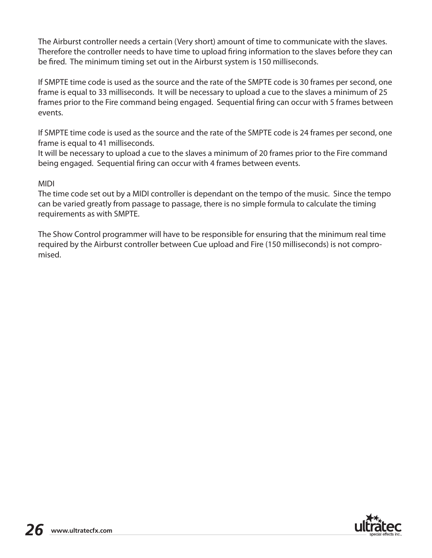The Airburst controller needs a certain (Very short) amount of time to communicate with the slaves. Therefore the controller needs to have time to upload firing information to the slaves before they can be fired. The minimum timing set out in the Airburst system is 150 milliseconds.

If SMPTE time code is used as the source and the rate of the SMPTE code is 30 frames per second, one frame is equal to 33 milliseconds. It will be necessary to upload a cue to the slaves a minimum of 25 frames prior to the Fire command being engaged. Sequential firing can occur with 5 frames between events.

If SMPTE time code is used as the source and the rate of the SMPTE code is 24 frames per second, one frame is equal to 41 milliseconds.

It will be necessary to upload a cue to the slaves a minimum of 20 frames prior to the Fire command being engaged. Sequential firing can occur with 4 frames between events.

#### MIDI

The time code set out by a MIDI controller is dependant on the tempo of the music. Since the tempo can be varied greatly from passage to passage, there is no simple formula to calculate the timing requirements as with SMPTE.

The Show Control programmer will have to be responsible for ensuring that the minimum real time required by the Airburst controller between Cue upload and Fire (150 milliseconds) is not compromised.

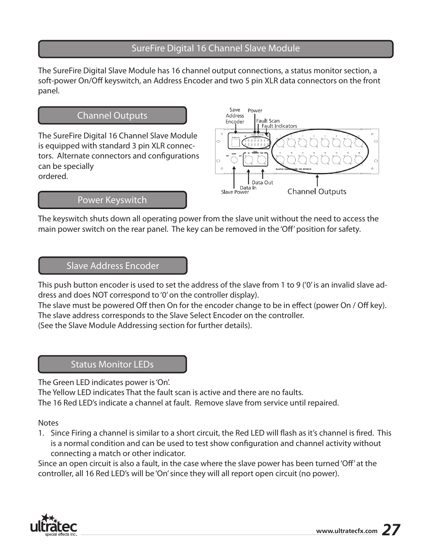### SureFire Digital 16 Channel Slave Module

The SureFire Digital Slave Module has 16 channel output connections, a status monitor section, a soft-power On/Off keyswitch, an Address Encoder and two 5 pin XLR data connectors on the front panel.

### Channel Outputs

The SureFire Digital 16 Channel Slave Module is equipped with standard 3 pin XLR connectors. Alternate connectors and configurations can be specially ordered.



#### Power Keyswitch

The keyswitch shuts down all operating power from the slave unit without the need to access the main power switch on the rear panel. The key can be removed in the 'Off' position for safety.

#### Slave Address Encoder

This push button encoder is used to set the address of the slave from 1 to 9 ('0' is an invalid slave address and does NOT correspond to '0' on the controller display).

The slave must be powered Off then On for the encoder change to be in effect (power On / Off key). The slave address corresponds to the Slave Select Encoder on the controller.

(See the Slave Module Addressing section for further details).

### Status Monitor LEDs

The Green LED indicates power is 'On'.

The Yellow LED indicates That the fault scan is active and there are no faults.

The 16 Red LED's indicate a channel at fault. Remove slave from service until repaired.

Notes

1. Since Firing a channel is similar to a short circuit, the Red LED will flash as it's channel is fired. This is a normal condition and can be used to test show configuration and channel activity without connecting a match or other indicator.

Since an open circuit is also a fault, in the case where the slave power has been turned 'Off' at the controller, all 16 Red LED's will be 'On' since they will all report open circuit (no power).

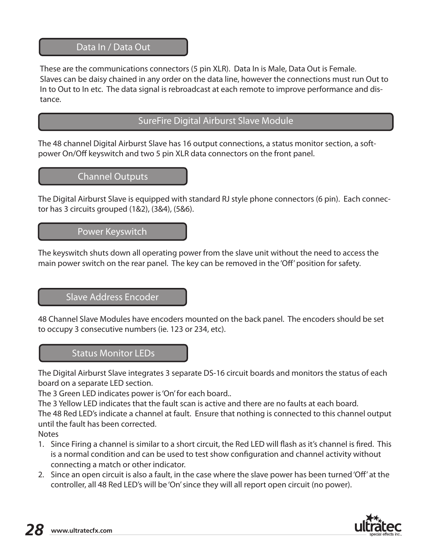#### Data In / Data Out

These are the communications connectors (5 pin XLR). Data In is Male, Data Out is Female. Slaves can be daisy chained in any order on the data line, however the connections must run Out to In to Out to In etc. The data signal is rebroadcast at each remote to improve performance and distance.

### SureFire Digital Airburst Slave Module

The 48 channel Digital Airburst Slave has 16 output connections, a status monitor section, a softpower On/Off keyswitch and two 5 pin XLR data connectors on the front panel.

Channel Outputs

The Digital Airburst Slave is equipped with standard RJ style phone connectors (6 pin). Each connector has 3 circuits grouped (1&2), (3&4), (5&6).

Power Keyswitch

The keyswitch shuts down all operating power from the slave unit without the need to access the main power switch on the rear panel. The key can be removed in the 'Off' position for safety.

#### Slave Address Encoder

48 Channel Slave Modules have encoders mounted on the back panel. The encoders should be set to occupy 3 consecutive numbers (ie. 123 or 234, etc).

### Status Monitor LEDs

The Digital Airburst Slave integrates 3 separate DS-16 circuit boards and monitors the status of each board on a separate LED section.

The 3 Green LED indicates power is 'On' for each board..

The 3 Yellow LED indicates that the fault scan is active and there are no faults at each board.

The 48 Red LED's indicate a channel at fault. Ensure that nothing is connected to this channel output until the fault has been corrected.

**Notes** 

- 1. Since Firing a channel is similar to a short circuit, the Red LED will flash as it's channel is fired. This is a normal condition and can be used to test show configuration and channel activity without connecting a match or other indicator.
- 2. Since an open circuit is also a fault, in the case where the slave power has been turned 'Off' at the controller, all 48 Red LED's will be 'On' since they will all report open circuit (no power).

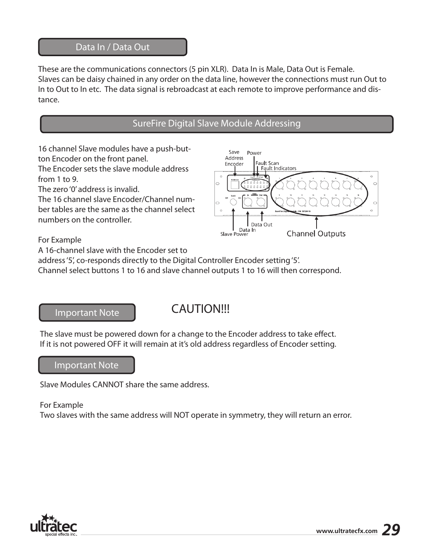#### Data In / Data Out

These are the communications connectors (5 pin XLR). Data In is Male, Data Out is Female. Slaves can be daisy chained in any order on the data line, however the connections must run Out to In to Out to In etc. The data signal is rebroadcast at each remote to improve performance and distance.

### SureFire Digital Slave Module Addressing

16 channel Slave modules have a push-button Encoder on the front panel.

The Encoder sets the slave module address from 1 to 9.

The zero '0' address is invalid.

The 16 channel slave Encoder/Channel number tables are the same as the channel select numbers on the controller.



For Example

A 16-channel slave with the Encoder set to

address '5', co-responds directly to the Digital Controller Encoder setting '5'.

Channel select buttons 1 to 16 and slave channel outputs 1 to 16 will then correspond.

#### Important Note

# **CAUTION!!!**

The slave must be powered down for a change to the Encoder address to take effect. If it is not powered OFF it will remain at it's old address regardless of Encoder setting.

#### Important Note

Slave Modules CANNOT share the same address.

#### For Example

Two slaves with the same address will NOT operate in symmetry, they will return an error.

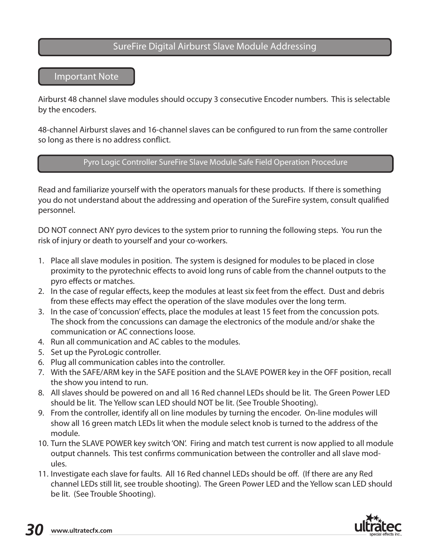### SureFire Digital Airburst Slave Module Addressing

#### Important Note

Airburst 48 channel slave modules should occupy 3 consecutive Encoder numbers. This is selectable by the encoders.

48-channel Airburst slaves and 16-channel slaves can be configured to run from the same controller so long as there is no address conflict.

#### Pyro Logic Controller SureFire Slave Module Safe Field Operation Procedure

Read and familiarize yourself with the operators manuals for these products. If there is something you do not understand about the addressing and operation of the SureFire system, consult qualified personnel.

DO NOT connect ANY pyro devices to the system prior to running the following steps. You run the risk of injury or death to yourself and your co-workers.

- 1. Place all slave modules in position. The system is designed for modules to be placed in close proximity to the pyrotechnic effects to avoid long runs of cable from the channel outputs to the pyro effects or matches.
- 2. In the case of regular effects, keep the modules at least six feet from the effect. Dust and debris from these effects may effect the operation of the slave modules over the long term.
- 3. In the case of 'concussion' effects, place the modules at least 15 feet from the concussion pots. The shock from the concussions can damage the electronics of the module and/or shake the communication or AC connections loose.
- 4. Run all communication and AC cables to the modules.
- 5. Set up the PyroLogic controller.
- 6. Plug all communication cables into the controller.
- 7. With the SAFE/ARM key in the SAFE position and the SLAVE POWER key in the OFF position, recall the show you intend to run.
- 8. All slaves should be powered on and all 16 Red channel LEDs should be lit. The Green Power LED should be lit. The Yellow scan LED should NOT be lit. (See Trouble Shooting).
- 9. From the controller, identify all on line modules by turning the encoder. On-line modules will show all 16 green match LEDs lit when the module select knob is turned to the address of the module.
- 10. Turn the SLAVE POWER key switch 'ON'. Firing and match test current is now applied to all module output channels. This test confirms communication between the controller and all slave modules.
- 11. Investigate each slave for faults. All 16 Red channel LEDs should be off. (If there are any Red channel LEDs still lit, see trouble shooting). The Green Power LED and the Yellow scan LED should be lit. (See Trouble Shooting).